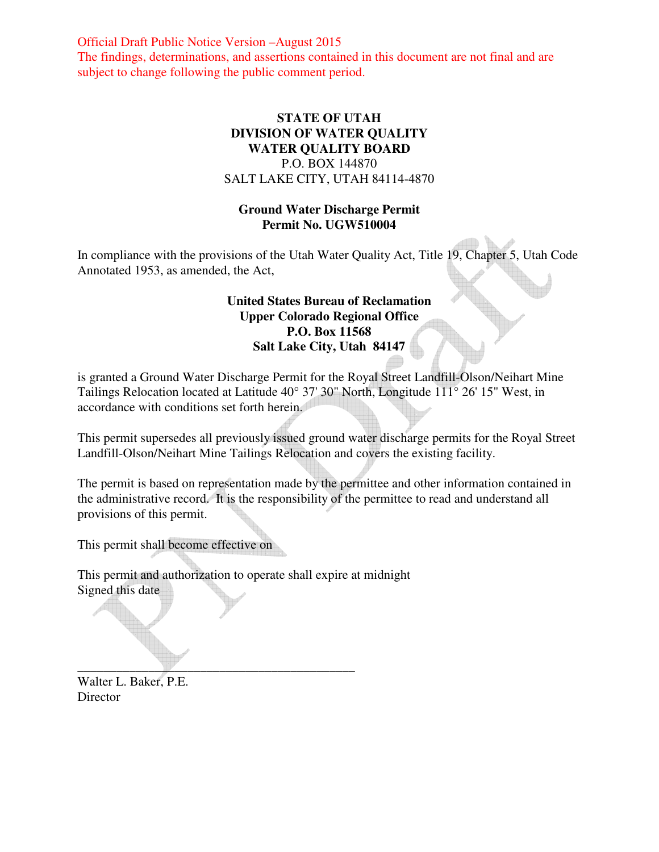Official Draft Public Notice Version –August 2015 The findings, determinations, and assertions contained in this document are not final and are subject to change following the public comment period.

# **STATE OF UTAH DIVISION OF WATER QUALITY WATER QUALITY BOARD**  P.O. BOX 144870 SALT LAKE CITY, UTAH 84114-4870

# **Ground Water Discharge Permit Permit No. UGW510004**

In compliance with the provisions of the Utah Water Quality Act, Title 19, Chapter 5, Utah Code Annotated 1953, as amended, the Act,

# **United States Bureau of Reclamation Upper Colorado Regional Office P.O. Box 11568 Salt Lake City, Utah 84147**

is granted a Ground Water Discharge Permit for the Royal Street Landfill-Olson/Neihart Mine Tailings Relocation located at Latitude 40° 37' 30" North, Longitude 111° 26' 15" West, in accordance with conditions set forth herein.

This permit supersedes all previously issued ground water discharge permits for the Royal Street Landfill-Olson/Neihart Mine Tailings Relocation and covers the existing facility.

The permit is based on representation made by the permittee and other information contained in the administrative record. It is the responsibility of the permittee to read and understand all provisions of this permit.

This permit shall become effective on

This permit and authorization to operate shall expire at midnight Signed this date

\_\_\_\_\_\_\_\_\_\_\_\_\_\_\_\_\_\_\_\_\_\_\_\_\_\_\_\_\_\_\_\_\_\_\_\_\_\_\_\_\_\_\_

Walter L. Baker, P.E. Director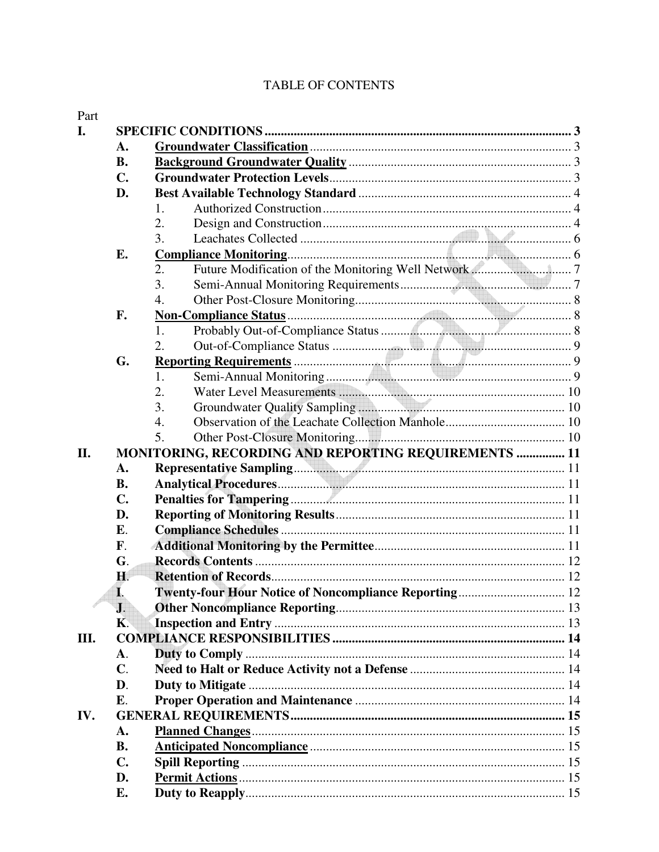# TABLE OF CONTENTS

| Part |                |                                                       |  |  |
|------|----------------|-------------------------------------------------------|--|--|
| I.   |                | <b>SPECIFIC CONDITIONS</b>                            |  |  |
|      | A.             |                                                       |  |  |
|      | <b>B.</b>      |                                                       |  |  |
|      | C.             |                                                       |  |  |
|      | D.             |                                                       |  |  |
|      |                | 1.                                                    |  |  |
|      |                | 2.                                                    |  |  |
|      |                | 3.                                                    |  |  |
|      | Е.             | <b>Compliance Monitoring.</b>                         |  |  |
|      |                | 2.                                                    |  |  |
|      |                | 3.                                                    |  |  |
|      |                | 4.                                                    |  |  |
|      | F.             |                                                       |  |  |
|      |                | 1.                                                    |  |  |
|      |                | 2.                                                    |  |  |
|      | G.             |                                                       |  |  |
|      |                | 1.                                                    |  |  |
|      |                | 2.                                                    |  |  |
|      |                | 3.                                                    |  |  |
|      |                | 4.                                                    |  |  |
|      |                | 5.                                                    |  |  |
| II.  |                | MONITORING, RECORDING AND REPORTING REQUIREMENTS  11  |  |  |
|      | A.             |                                                       |  |  |
|      | <b>B.</b>      |                                                       |  |  |
|      | C.             |                                                       |  |  |
|      | D.             |                                                       |  |  |
|      | Ε.             |                                                       |  |  |
|      | F.             |                                                       |  |  |
|      | G.             |                                                       |  |  |
|      | Η.             |                                                       |  |  |
|      | I.             | Twenty-four Hour Notice of Noncompliance Reporting 12 |  |  |
|      | $\mathbf{J}$ . |                                                       |  |  |
|      | <b>K</b> .     |                                                       |  |  |
| Ш.   |                |                                                       |  |  |
|      | A.             |                                                       |  |  |
|      | $\mathbf{C}$ . |                                                       |  |  |
|      | D.             |                                                       |  |  |
|      | E.             |                                                       |  |  |
| IV.  |                |                                                       |  |  |
|      | $\mathbf{A}$ . |                                                       |  |  |
|      | <b>B.</b>      |                                                       |  |  |
|      | $\mathbf{C}$ . |                                                       |  |  |
|      | D.             |                                                       |  |  |
|      | Е.             |                                                       |  |  |
|      |                |                                                       |  |  |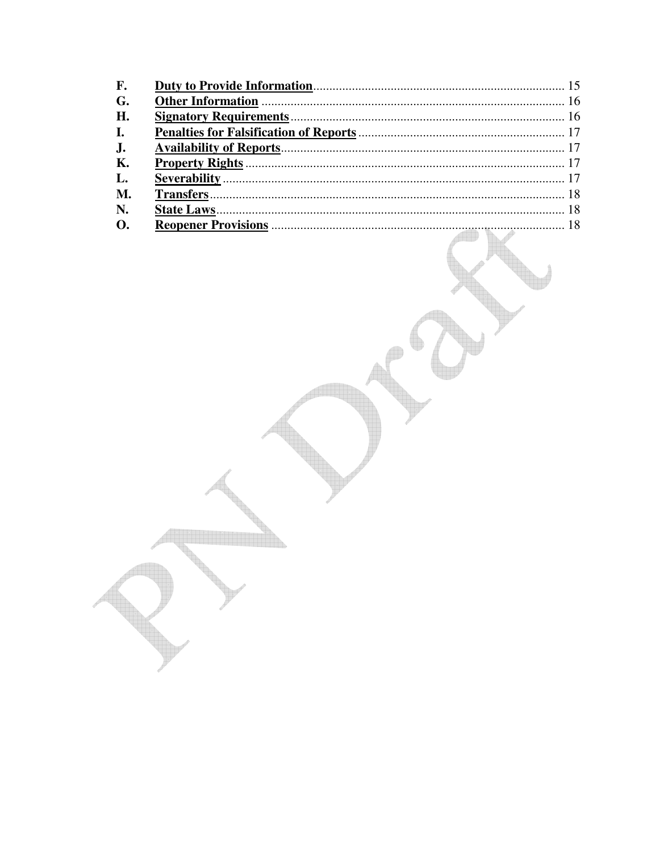| $\mathbf{F}$ . |  |
|----------------|--|
| G.             |  |
| H.             |  |
| $\mathbf{I}$ . |  |
| J <sub>1</sub> |  |
| К.             |  |
| L.             |  |
| M.             |  |
| N.             |  |
| <b>O.</b>      |  |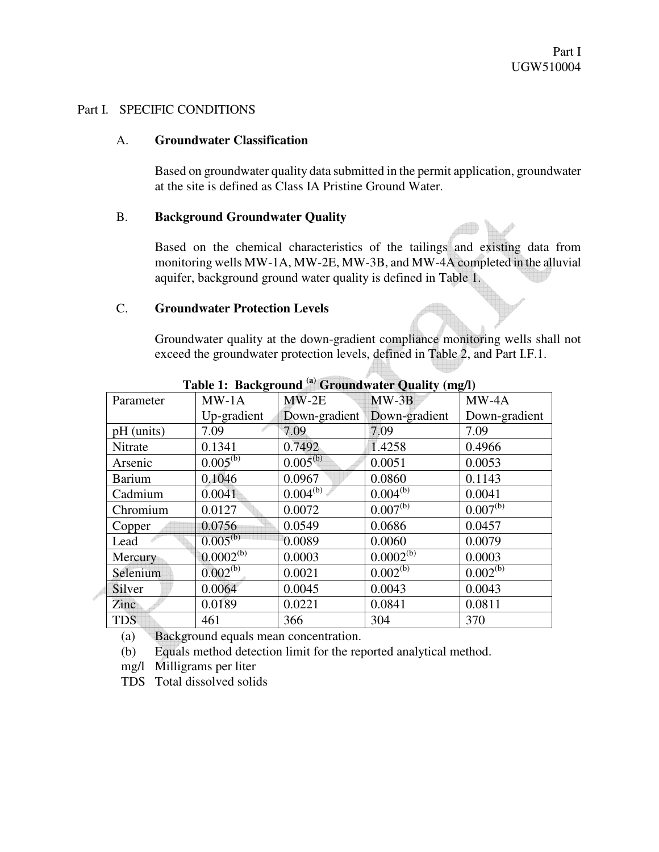#### Part I. SPECIFIC CONDITIONS

#### A. **Groundwater Classification**

Based on groundwater quality data submitted in the permit application, groundwater at the site is defined as Class IA Pristine Ground Water.

#### B. **Background Groundwater Quality**

Based on the chemical characteristics of the tailings and existing data from monitoring wells MW-1A, MW-2E, MW-3B, and MW-4A completed in the alluvial aquifer, background ground water quality is defined in Table 1.

#### C. **Groundwater Protection Levels**

Groundwater quality at the down-gradient compliance monitoring wells shall not exceed the groundwater protection levels, defined in Table 2, and Part I.F.1.

| Parameter     | $MW-1A$        | $MW-2E$       | $MW-3B$                   | $MW-4A$       |
|---------------|----------------|---------------|---------------------------|---------------|
|               | Up-gradient    | Down-gradient | Down-gradient             | Down-gradient |
| pH (units)    | 7.09           | 7.09          | 7.09                      | 7.09          |
| Nitrate       | 0.1341         | 0.7492        | 1.4258                    | 0.4966        |
| Arsenic       | $0.005^{(b)}$  | $0.005^{(b)}$ | 0.0051                    | 0.0053        |
| <b>Barium</b> | 0.1046         | 0.0967        | 0.0860                    | 0.1143        |
| Cadmium       | 0.0041         | $0.004^{(b)}$ | $0.004^{(b)}$             | 0.0041        |
| Chromium      | 0.0127         | 0.0072        | $0.007^{(b)}$             | $0.007^{(b)}$ |
| Copper        | 0.0756         | 0.0549        | 0.0686                    | 0.0457        |
| Lead          | $0.005^{(b)}$  | 0.0089        | 0.0060                    | 0.0079        |
| Mercury       | $0.0002^{(b)}$ | 0.0003        | $0.0002^{\overline{(b)}}$ | 0.0003        |
| Selenium      | $0.002^{(b)}$  | 0.0021        | $0.002^{(b)}$             | $0.002^{(b)}$ |
| Silver        | 0.0064         | 0.0045        | 0.0043                    | 0.0043        |
| Zinc          | 0.0189         | 0.0221        | 0.0841                    | 0.0811        |
| <b>TDS</b>    | 461            | 366           | 304                       | 370           |

**Table 1: Background (a) Groundwater Quality (mg/l)** 

(a) Background equals mean concentration.

(b) Equals method detection limit for the reported analytical method.

mg/l Milligrams per liter

TDS Total dissolved solids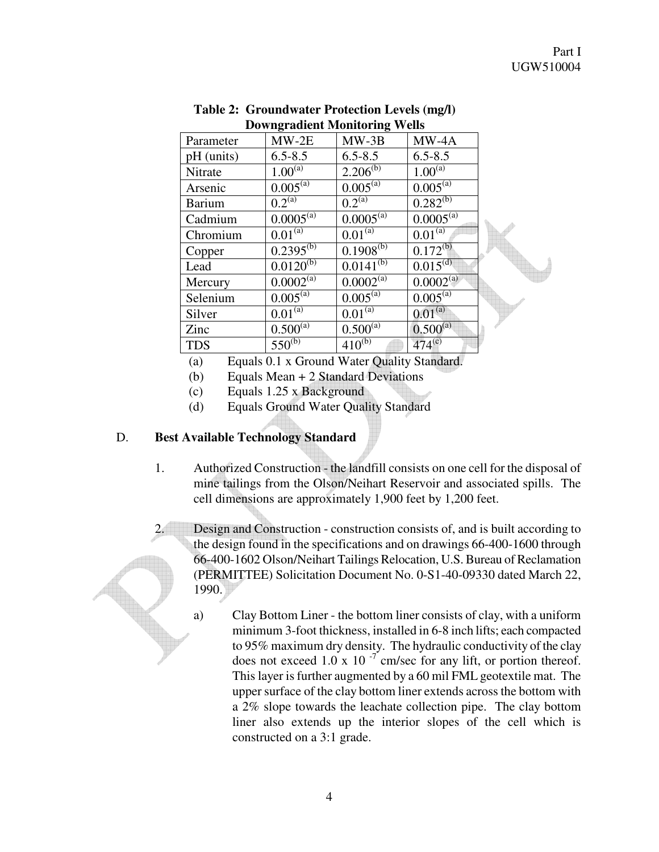| DOWNER attent Monitoring Wens |                        |                          |                           |  |
|-------------------------------|------------------------|--------------------------|---------------------------|--|
| Parameter                     | $MW-2E$                | $MW-3B$                  | $MW-4A$                   |  |
| $pH$ (units)                  | $6.5 - 8.5$            | $6.5 - 8.5$              | $6.5 - 8.5$               |  |
| Nitrate                       | $1.00^{(a)}$           | $2.206^{(b)}$            | $1.00^{(a)}$              |  |
| Arsenic                       | $0.005^{\overline{a}}$ | $0.005^{(\overline{a})}$ | $0.005^{\overline{a}}$    |  |
| <b>Barium</b>                 | $0.2^{(a)}$            | $0.2^{(a)}$              | $0.282^{(b)}$             |  |
| Cadmium                       | $0.0005^{(a)}$         | $0.0005^{(a)}$           | $0.000\overline{5}^{(a)}$ |  |
| Chromium                      | $0.01^{(a)}$           | $0.01^{(a)}$             | $0.01^{(a)}$              |  |
| Copper                        | $0.2395^{(b)}$         | $0.1908^{(b)}$           | $0.172^{(b)}$             |  |
| Lead                          | $0.0120^{(b)}$         | $0.0141^{(b)}$           | $0.015^{\text{(d)}}$      |  |
| Mercury                       | $0.0002^{(a)}$         | $0.0002^{\overline{a}}$  | $0.0002^{\overline{a}}$   |  |
| Selenium                      | $0.005^{\overline{a}}$ | $0.005^{(a)}$            | $0.005^{(a)}$             |  |
| Silver                        | $0.01^{(a)}$           | $0.01^{(a)}$             | $0.01^{(a)}$              |  |
| Zinc                          | $0.500^{\overline{a}}$ | $0.500^{(a)}$            | $0.500^{(a)}$             |  |
| <b>TDS</b>                    | $550^{(b)}$            | $410^{(b)}$              | $474^{(c)}$               |  |

| <b>Table 2: Groundwater Protection Levels (mg/l)</b> |
|------------------------------------------------------|
| <b>Downgradient Monitoring Wells</b>                 |

(a) Equals 0.1 x Ground Water Quality Standard.

(b) Equals Mean + 2 Standard Deviations

(c) Equals 1.25 x Background

(d) Equals Ground Water Quality Standard

### D. **Best Available Technology Standard**

- 1. Authorized Construction the landfill consists on one cell for the disposal of mine tailings from the Olson/Neihart Reservoir and associated spills. The cell dimensions are approximately 1,900 feet by 1,200 feet.
- 2. Design and Construction construction consists of, and is built according to the design found in the specifications and on drawings 66-400-1600 through 66-400-1602 Olson/Neihart Tailings Relocation, U.S. Bureau of Reclamation (PERMITTEE) Solicitation Document No. 0-S1-40-09330 dated March 22, 1990.
	- a) Clay Bottom Liner the bottom liner consists of clay, with a uniform minimum 3-foot thickness, installed in 6-8 inch lifts; each compacted to 95% maximum dry density. The hydraulic conductivity of the clay does not exceed 1.0 x 10 $^{-7}$  cm/sec for any lift, or portion thereof. This layer is further augmented by a 60 mil FML geotextile mat. The upper surface of the clay bottom liner extends across the bottom with a 2% slope towards the leachate collection pipe. The clay bottom liner also extends up the interior slopes of the cell which is constructed on a 3:1 grade.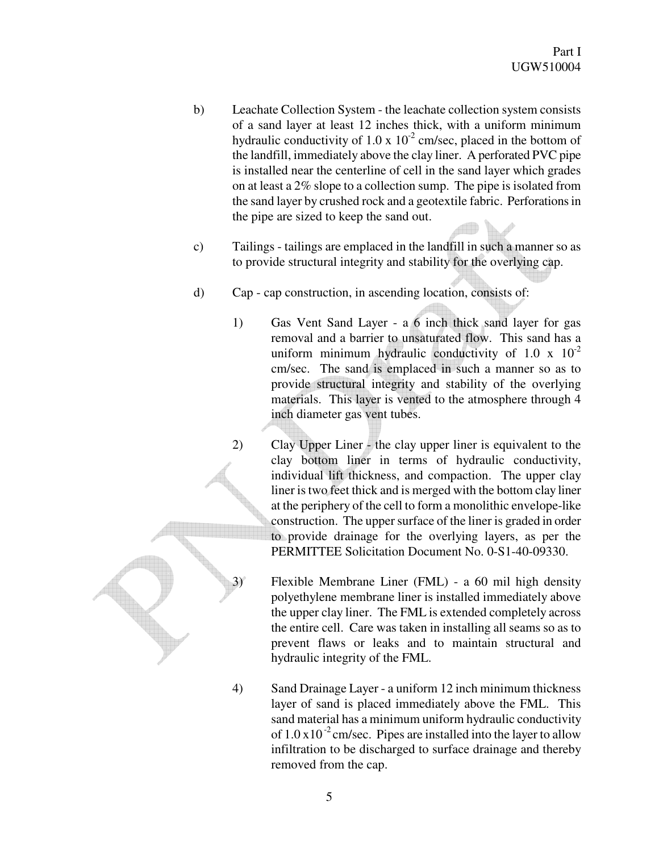- b) Leachate Collection System the leachate collection system consists of a sand layer at least 12 inches thick, with a uniform minimum hydraulic conductivity of 1.0 x  $10^{-2}$  cm/sec, placed in the bottom of the landfill, immediately above the clay liner. A perforated PVC pipe is installed near the centerline of cell in the sand layer which grades on at least a 2% slope to a collection sump. The pipe is isolated from the sand layer by crushed rock and a geotextile fabric. Perforations in the pipe are sized to keep the sand out.
- c) Tailings tailings are emplaced in the landfill in such a manner so as to provide structural integrity and stability for the overlying cap.
- d) Cap cap construction, in ascending location, consists of:
	- 1) Gas Vent Sand Layer a 6 inch thick sand layer for gas removal and a barrier to unsaturated flow. This sand has a uniform minimum hydraulic conductivity of 1.0 x  $10^{-2}$ cm/sec. The sand is emplaced in such a manner so as to provide structural integrity and stability of the overlying materials. This layer is vented to the atmosphere through 4 inch diameter gas vent tubes.
	- 2) Clay Upper Liner the clay upper liner is equivalent to the clay bottom liner in terms of hydraulic conductivity, individual lift thickness, and compaction. The upper clay liner is two feet thick and is merged with the bottom clay liner at the periphery of the cell to form a monolithic envelope-like construction. The upper surface of the liner is graded in order to provide drainage for the overlying layers, as per the PERMITTEE Solicitation Document No. 0-S1-40-09330.
	- 3) Flexible Membrane Liner (FML) a 60 mil high density polyethylene membrane liner is installed immediately above the upper clay liner. The FML is extended completely across the entire cell. Care was taken in installing all seams so as to prevent flaws or leaks and to maintain structural and hydraulic integrity of the FML.
	- 4) Sand Drainage Layer a uniform 12 inch minimum thickness layer of sand is placed immediately above the FML. This sand material has a minimum uniform hydraulic conductivity of  $1.0 \times 10^{-2}$  cm/sec. Pipes are installed into the layer to allow infiltration to be discharged to surface drainage and thereby removed from the cap.



5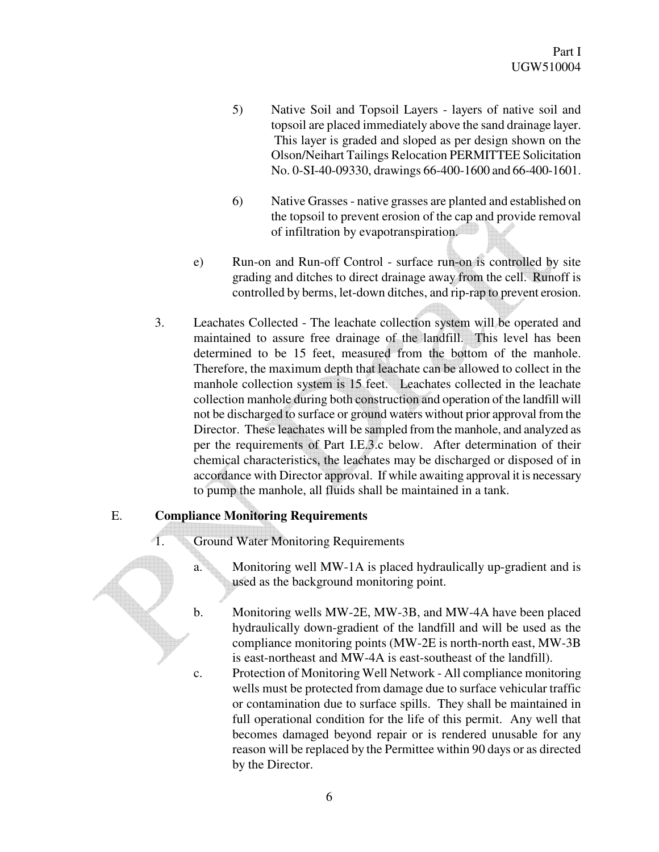- 5) Native Soil and Topsoil Layers layers of native soil and topsoil are placed immediately above the sand drainage layer. This layer is graded and sloped as per design shown on the Olson/Neihart Tailings Relocation PERMITTEE Solicitation No. 0-SI-40-09330, drawings 66-400-1600 and 66-400-1601.
- 6) Native Grasses native grasses are planted and established on the topsoil to prevent erosion of the cap and provide removal of infiltration by evapotranspiration.
- e) Run-on and Run-off Control surface run-on is controlled by site grading and ditches to direct drainage away from the cell. Runoff is controlled by berms, let-down ditches, and rip-rap to prevent erosion.
- 3. Leachates Collected The leachate collection system will be operated and maintained to assure free drainage of the landfill. This level has been determined to be 15 feet, measured from the bottom of the manhole. Therefore, the maximum depth that leachate can be allowed to collect in the manhole collection system is 15 feet. Leachates collected in the leachate collection manhole during both construction and operation of the landfill will not be discharged to surface or ground waters without prior approval from the Director. These leachates will be sampled from the manhole, and analyzed as per the requirements of Part I.E.3.c below. After determination of their chemical characteristics, the leachates may be discharged or disposed of in accordance with Director approval. If while awaiting approval it is necessary to pump the manhole, all fluids shall be maintained in a tank.

# E. **Compliance Monitoring Requirements**

- 1. Ground Water Monitoring Requirements
	- a. Monitoring well MW-1A is placed hydraulically up-gradient and is used as the background monitoring point.

b. Monitoring wells MW-2E, MW-3B, and MW-4A have been placed hydraulically down-gradient of the landfill and will be used as the compliance monitoring points (MW-2E is north-north east, MW-3B is east-northeast and MW-4A is east-southeast of the landfill).

c. Protection of Monitoring Well Network - All compliance monitoring wells must be protected from damage due to surface vehicular traffic or contamination due to surface spills. They shall be maintained in full operational condition for the life of this permit. Any well that becomes damaged beyond repair or is rendered unusable for any reason will be replaced by the Permittee within 90 days or as directed by the Director.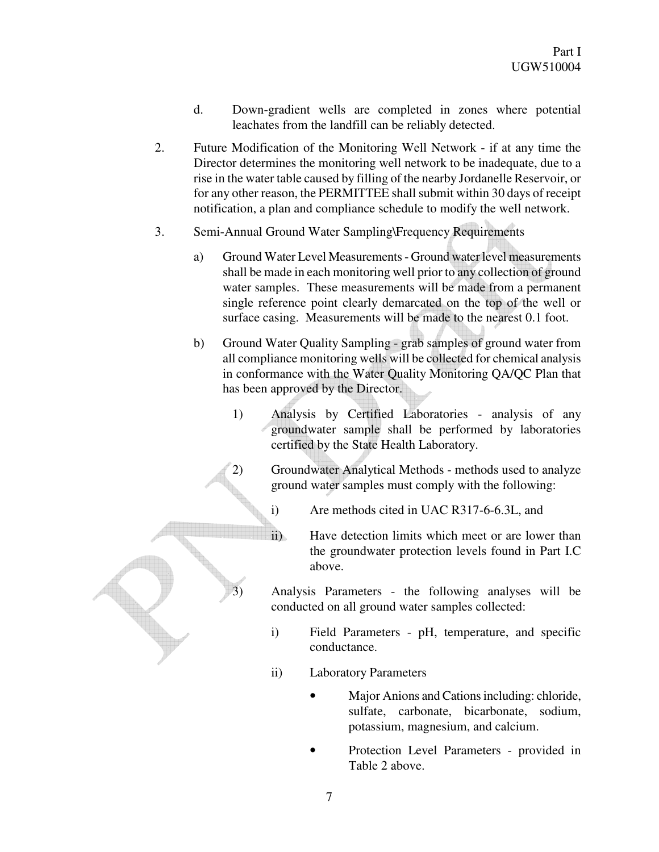- d. Down-gradient wells are completed in zones where potential leachates from the landfill can be reliably detected.
- 2. Future Modification of the Monitoring Well Network if at any time the Director determines the monitoring well network to be inadequate, due to a rise in the water table caused by filling of the nearby Jordanelle Reservoir, or for any other reason, the PERMITTEE shall submit within 30 days of receipt notification, a plan and compliance schedule to modify the well network.
- 3. Semi-Annual Ground Water Sampling\Frequency Requirements
	- a) Ground Water Level Measurements Ground water level measurements shall be made in each monitoring well prior to any collection of ground water samples. These measurements will be made from a permanent single reference point clearly demarcated on the top of the well or surface casing. Measurements will be made to the nearest 0.1 foot.
	- b) Ground Water Quality Sampling grab samples of ground water from all compliance monitoring wells will be collected for chemical analysis in conformance with the Water Quality Monitoring QA/QC Plan that has been approved by the Director.
		- 1) Analysis by Certified Laboratories analysis of any groundwater sample shall be performed by laboratories certified by the State Health Laboratory.
		- 2) Groundwater Analytical Methods methods used to analyze ground water samples must comply with the following:
			- i) Are methods cited in UAC R317-6-6.3L, and
			- ii) Have detection limits which meet or are lower than the groundwater protection levels found in Part I.C above.
			- Analysis Parameters the following analyses will be conducted on all ground water samples collected:
			- i) Field Parameters pH, temperature, and specific conductance.
			- ii) Laboratory Parameters
				- Major Anions and Cations including: chloride, sulfate, carbonate, bicarbonate, sodium, potassium, magnesium, and calcium.
				- Protection Level Parameters provided in Table 2 above.

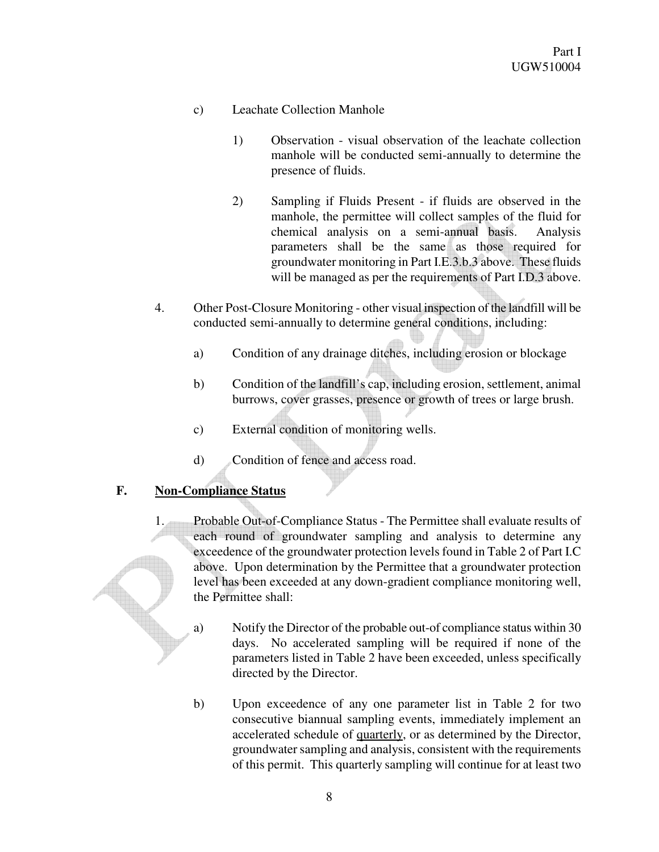- c) Leachate Collection Manhole
	- 1) Observation visual observation of the leachate collection manhole will be conducted semi-annually to determine the presence of fluids.
	- 2) Sampling if Fluids Present if fluids are observed in the manhole, the permittee will collect samples of the fluid for chemical analysis on a semi-annual basis. Analysis parameters shall be the same as those required for groundwater monitoring in Part I.E.3.b.3 above. These fluids will be managed as per the requirements of Part I.D.3 above.
- 4. Other Post-Closure Monitoring other visual inspection of the landfill will be conducted semi-annually to determine general conditions, including:
	- a) Condition of any drainage ditches, including erosion or blockage
	- b) Condition of the landfill's cap, including erosion, settlement, animal burrows, cover grasses, presence or growth of trees or large brush.
	- c) External condition of monitoring wells.
	- d) Condition of fence and access road.

# **F. Non-Compliance Status**

- 1. Probable Out-of-Compliance Status The Permittee shall evaluate results of each round of groundwater sampling and analysis to determine any exceedence of the groundwater protection levels found in Table 2 of Part I.C above. Upon determination by the Permittee that a groundwater protection level has been exceeded at any down-gradient compliance monitoring well, the Permittee shall:
	- a) Notify the Director of the probable out-of compliance status within 30 days. No accelerated sampling will be required if none of the parameters listed in Table 2 have been exceeded, unless specifically directed by the Director.
	- b) Upon exceedence of any one parameter list in Table 2 for two consecutive biannual sampling events, immediately implement an accelerated schedule of quarterly, or as determined by the Director, groundwater sampling and analysis, consistent with the requirements of this permit. This quarterly sampling will continue for at least two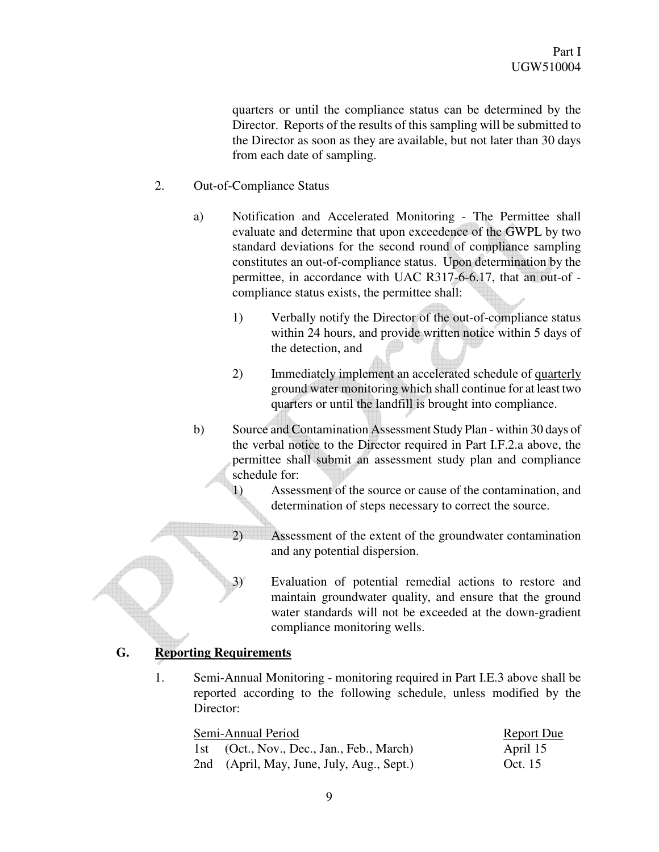quarters or until the compliance status can be determined by the Director. Reports of the results of this sampling will be submitted to the Director as soon as they are available, but not later than 30 days from each date of sampling.

- 2. Out-of-Compliance Status
	- a) Notification and Accelerated Monitoring The Permittee shall evaluate and determine that upon exceedence of the GWPL by two standard deviations for the second round of compliance sampling constitutes an out-of-compliance status. Upon determination by the permittee, in accordance with UAC R317-6-6.17, that an out-of compliance status exists, the permittee shall:
		- 1) Verbally notify the Director of the out-of-compliance status within 24 hours, and provide written notice within 5 days of the detection, and
		- 2) Immediately implement an accelerated schedule of quarterly ground water monitoring which shall continue for at least two quarters or until the landfill is brought into compliance.
	- b) Source and Contamination Assessment Study Plan within 30 days of the verbal notice to the Director required in Part I.F.2.a above, the permittee shall submit an assessment study plan and compliance schedule for:
		- 1) Assessment of the source or cause of the contamination, and determination of steps necessary to correct the source.
		- 2) Assessment of the extent of the groundwater contamination and any potential dispersion.
		- 3) Evaluation of potential remedial actions to restore and maintain groundwater quality, and ensure that the ground water standards will not be exceeded at the down-gradient compliance monitoring wells.

# **G. Reporting Requirements**

1. Semi-Annual Monitoring - monitoring required in Part I.E.3 above shall be reported according to the following schedule, unless modified by the Director:

| Semi-Annual Period                        | Report Due |
|-------------------------------------------|------------|
| 1st (Oct., Nov., Dec., Jan., Feb., March) | April 15   |
| 2nd (April, May, June, July, Aug., Sept.) | Oct. $15$  |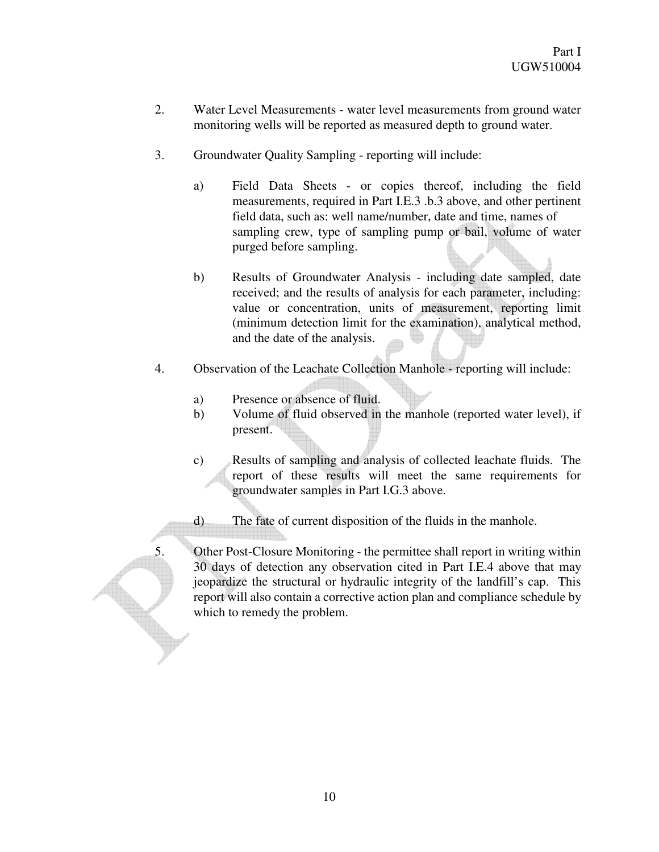- 2. Water Level Measurements water level measurements from ground water monitoring wells will be reported as measured depth to ground water.
- 3. Groundwater Quality Sampling reporting will include:
	- a) Field Data Sheets or copies thereof, including the field measurements, required in Part I.E.3 .b.3 above, and other pertinent field data, such as: well name/number, date and time, names of sampling crew, type of sampling pump or bail, volume of water purged before sampling.
	- b) Results of Groundwater Analysis including date sampled, date received; and the results of analysis for each parameter, including: value or concentration, units of measurement, reporting limit (minimum detection limit for the examination), analytical method, and the date of the analysis.
- 4. Observation of the Leachate Collection Manhole reporting will include:
	- a) Presence or absence of fluid.
	- b) Volume of fluid observed in the manhole (reported water level), if present.
	- c) Results of sampling and analysis of collected leachate fluids. The report of these results will meet the same requirements for groundwater samples in Part I.G.3 above.
	- d) The fate of current disposition of the fluids in the manhole.

5. Other Post-Closure Monitoring - the permittee shall report in writing within 30 days of detection any observation cited in Part I.E.4 above that may jeopardize the structural or hydraulic integrity of the landfill's cap. This report will also contain a corrective action plan and compliance schedule by which to remedy the problem.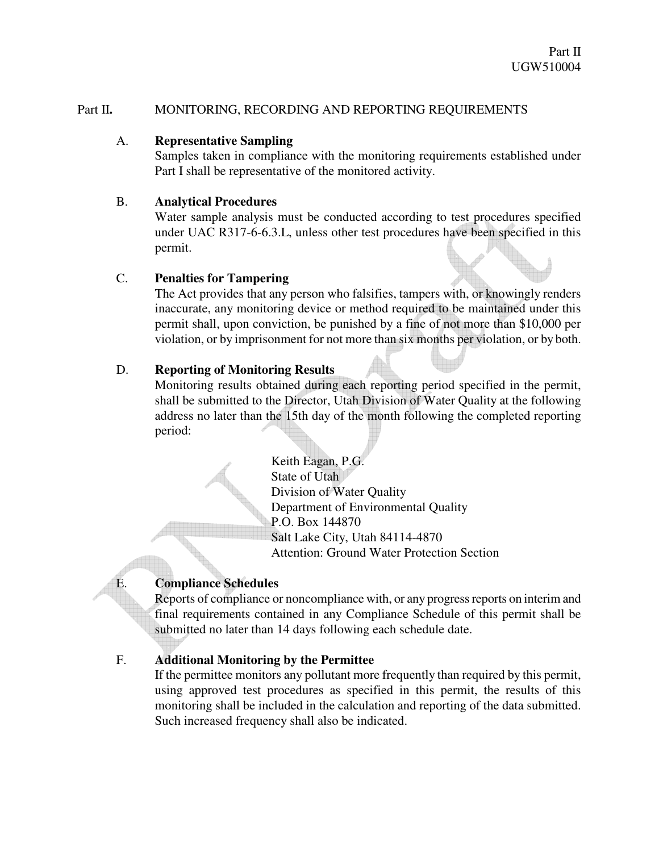### Part II. MONITORING, RECORDING AND REPORTING REQUIREMENTS

### A. **Representative Sampling**

Samples taken in compliance with the monitoring requirements established under Part I shall be representative of the monitored activity.

### B. **Analytical Procedures**

Water sample analysis must be conducted according to test procedures specified under UAC R317-6-6.3.L, unless other test procedures have been specified in this permit.

# C. **Penalties for Tampering**

The Act provides that any person who falsifies, tampers with, or knowingly renders inaccurate, any monitoring device or method required to be maintained under this permit shall, upon conviction, be punished by a fine of not more than \$10,000 per violation, or by imprisonment for not more than six months per violation, or by both.

# D. **Reporting of Monitoring Results**

Monitoring results obtained during each reporting period specified in the permit, shall be submitted to the Director, Utah Division of Water Quality at the following address no later than the 15th day of the month following the completed reporting period:

> Keith Eagan, P.G. State of Utah Division of Water Quality Department of Environmental Quality P.O. Box 144870 Salt Lake City, Utah 84114-4870 Attention: Ground Water Protection Section

# E. **Compliance Schedules**

Reports of compliance or noncompliance with, or any progress reports on interim and final requirements contained in any Compliance Schedule of this permit shall be submitted no later than 14 days following each schedule date.

# F. **Additional Monitoring by the Permittee**

If the permittee monitors any pollutant more frequently than required by this permit, using approved test procedures as specified in this permit, the results of this monitoring shall be included in the calculation and reporting of the data submitted. Such increased frequency shall also be indicated.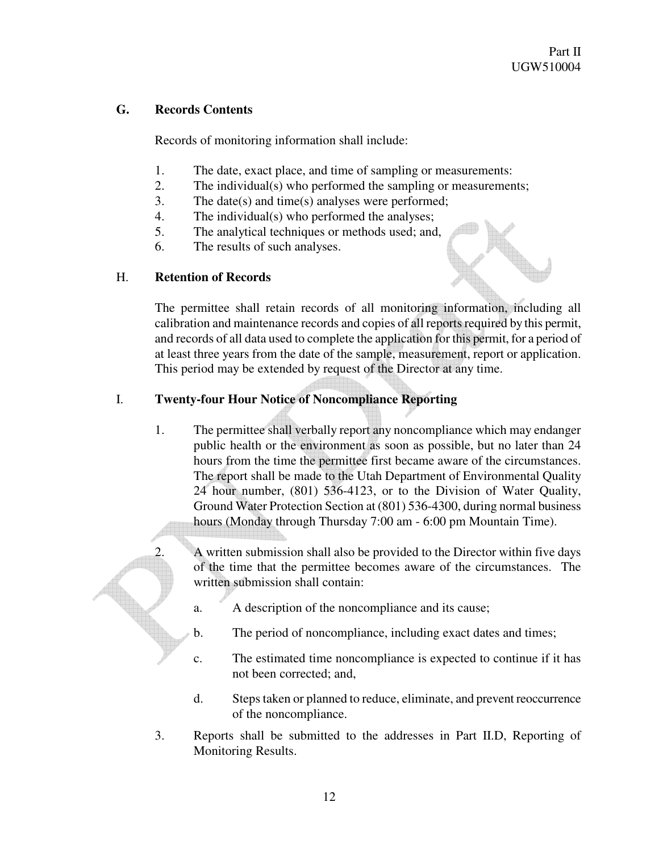# **G. Records Contents**

Records of monitoring information shall include:

- 1. The date, exact place, and time of sampling or measurements:
- 2. The individual(s) who performed the sampling or measurements;
- 3. The date(s) and time(s) analyses were performed;
- 4. The individual(s) who performed the analyses;
- 5. The analytical techniques or methods used; and,
- 6. The results of such analyses.

# H. **Retention of Records**

The permittee shall retain records of all monitoring information, including all calibration and maintenance records and copies of all reports required by this permit, and records of all data used to complete the application for this permit, for a period of at least three years from the date of the sample, measurement, report or application. This period may be extended by request of the Director at any time.

# I. **Twenty-four Hour Notice of Noncompliance Reporting**

1. The permittee shall verbally report any noncompliance which may endanger public health or the environment as soon as possible, but no later than 24 hours from the time the permittee first became aware of the circumstances. The report shall be made to the Utah Department of Environmental Quality 24 hour number, (801) 536-4123, or to the Division of Water Quality, Ground Water Protection Section at (801) 536-4300, during normal business hours (Monday through Thursday 7:00 am - 6:00 pm Mountain Time).

2. A written submission shall also be provided to the Director within five days of the time that the permittee becomes aware of the circumstances. The written submission shall contain:

- a. A description of the noncompliance and its cause;
- b. The period of noncompliance, including exact dates and times;
- c. The estimated time noncompliance is expected to continue if it has not been corrected; and,
- d. Steps taken or planned to reduce, eliminate, and prevent reoccurrence of the noncompliance.
- 3. Reports shall be submitted to the addresses in Part II.D, Reporting of Monitoring Results.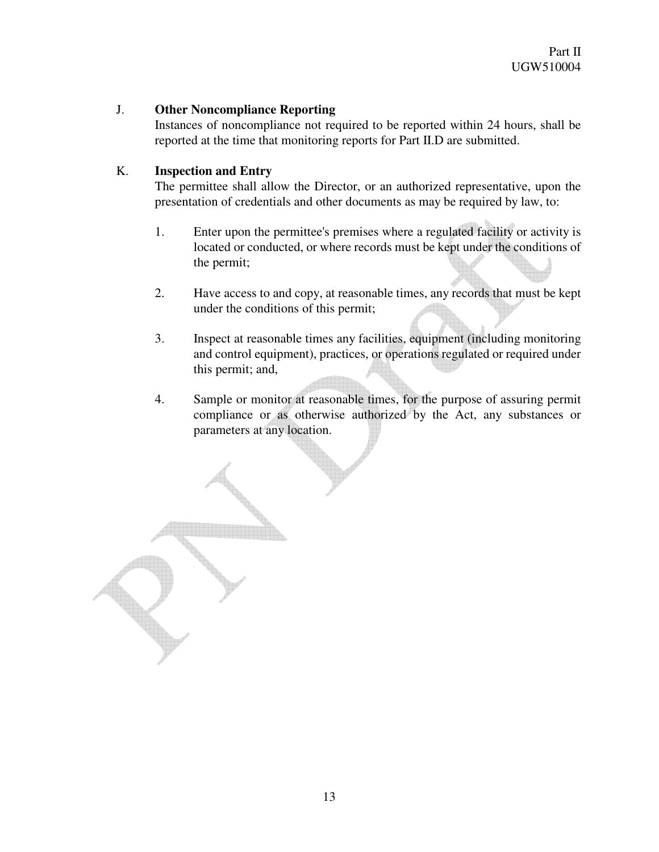### J. **Other Noncompliance Reporting**

Instances of noncompliance not required to be reported within 24 hours, shall be reported at the time that monitoring reports for Part II.D are submitted.

### K. **Inspection and Entry**

The permittee shall allow the Director, or an authorized representative, upon the presentation of credentials and other documents as may be required by law, to:

- 1. Enter upon the permittee's premises where a regulated facility or activity is located or conducted, or where records must be kept under the conditions of the permit;
- 2. Have access to and copy, at reasonable times, any records that must be kept under the conditions of this permit;
- 3. Inspect at reasonable times any facilities, equipment (including monitoring and control equipment), practices, or operations regulated or required under this permit; and,
- 4. Sample or monitor at reasonable times, for the purpose of assuring permit compliance or as otherwise authorized by the Act, any substances or parameters at any location.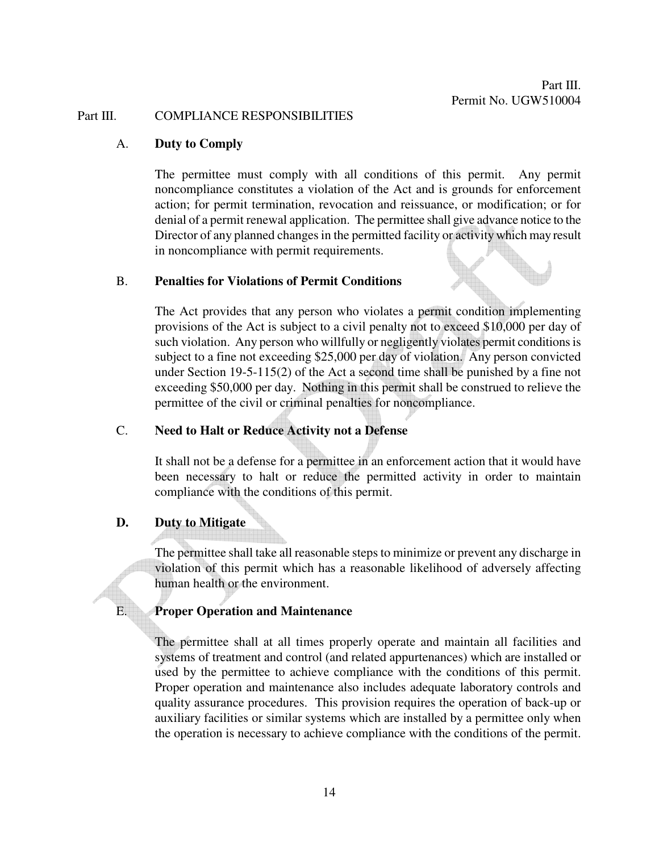#### Part III. COMPLIANCE RESPONSIBILITIES

#### A. **Duty to Comply**

The permittee must comply with all conditions of this permit. Any permit noncompliance constitutes a violation of the Act and is grounds for enforcement action; for permit termination, revocation and reissuance, or modification; or for denial of a permit renewal application. The permittee shall give advance notice to the Director of any planned changes in the permitted facility or activity which may result in noncompliance with permit requirements.

#### B. **Penalties for Violations of Permit Conditions**

The Act provides that any person who violates a permit condition implementing provisions of the Act is subject to a civil penalty not to exceed \$10,000 per day of such violation. Any person who willfully or negligently violates permit conditions is subject to a fine not exceeding \$25,000 per day of violation. Any person convicted under Section 19-5-115(2) of the Act a second time shall be punished by a fine not exceeding \$50,000 per day. Nothing in this permit shall be construed to relieve the permittee of the civil or criminal penalties for noncompliance.

#### C. **Need to Halt or Reduce Activity not a Defense**

It shall not be a defense for a permittee in an enforcement action that it would have been necessary to halt or reduce the permitted activity in order to maintain compliance with the conditions of this permit.

#### **D. Duty to Mitigate**

The permittee shall take all reasonable steps to minimize or prevent any discharge in violation of this permit which has a reasonable likelihood of adversely affecting human health or the environment.

#### E. **Proper Operation and Maintenance**

The permittee shall at all times properly operate and maintain all facilities and systems of treatment and control (and related appurtenances) which are installed or used by the permittee to achieve compliance with the conditions of this permit. Proper operation and maintenance also includes adequate laboratory controls and quality assurance procedures. This provision requires the operation of back-up or auxiliary facilities or similar systems which are installed by a permittee only when the operation is necessary to achieve compliance with the conditions of the permit.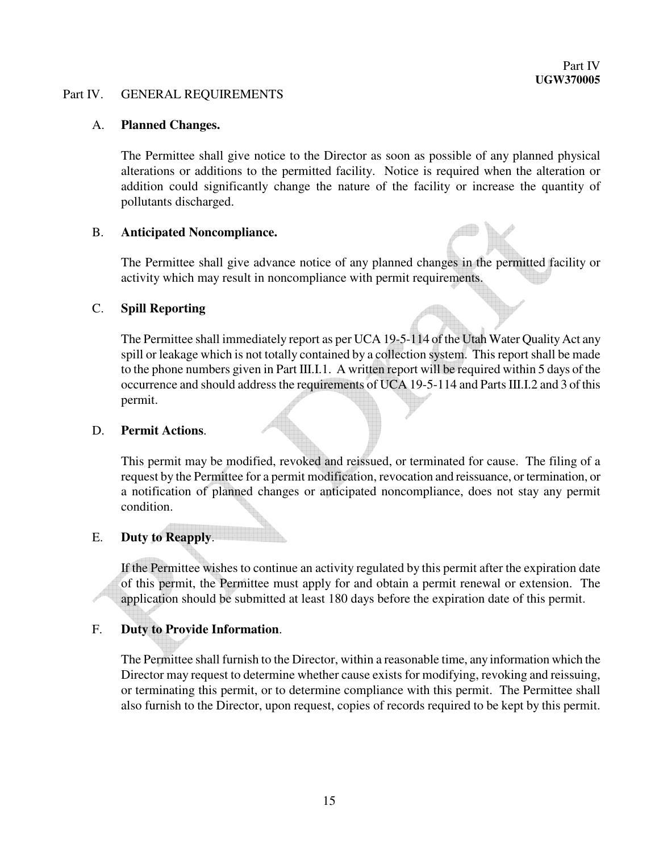#### Part IV. GENERAL REQUIREMENTS

#### A. **Planned Changes.**

The Permittee shall give notice to the Director as soon as possible of any planned physical alterations or additions to the permitted facility. Notice is required when the alteration or addition could significantly change the nature of the facility or increase the quantity of pollutants discharged.

#### B. **Anticipated Noncompliance.**

The Permittee shall give advance notice of any planned changes in the permitted facility or activity which may result in noncompliance with permit requirements.

#### C. **Spill Reporting**

The Permittee shall immediately report as per UCA 19-5-114 of the Utah Water Quality Act any spill or leakage which is not totally contained by a collection system. This report shall be made to the phone numbers given in Part III.I.1. A written report will be required within 5 days of the occurrence and should address the requirements of UCA 19-5-114 and Parts III.I.2 and 3 of this permit.

#### D. **Permit Actions**.

This permit may be modified, revoked and reissued, or terminated for cause. The filing of a request by the Permittee for a permit modification, revocation and reissuance, or termination, or a notification of planned changes or anticipated noncompliance, does not stay any permit condition.

# E. **Duty to Reapply**.

If the Permittee wishes to continue an activity regulated by this permit after the expiration date of this permit, the Permittee must apply for and obtain a permit renewal or extension. The application should be submitted at least 180 days before the expiration date of this permit.

#### F. **Duty to Provide Information**.

The Permittee shall furnish to the Director, within a reasonable time, any information which the Director may request to determine whether cause exists for modifying, revoking and reissuing, or terminating this permit, or to determine compliance with this permit. The Permittee shall also furnish to the Director, upon request, copies of records required to be kept by this permit.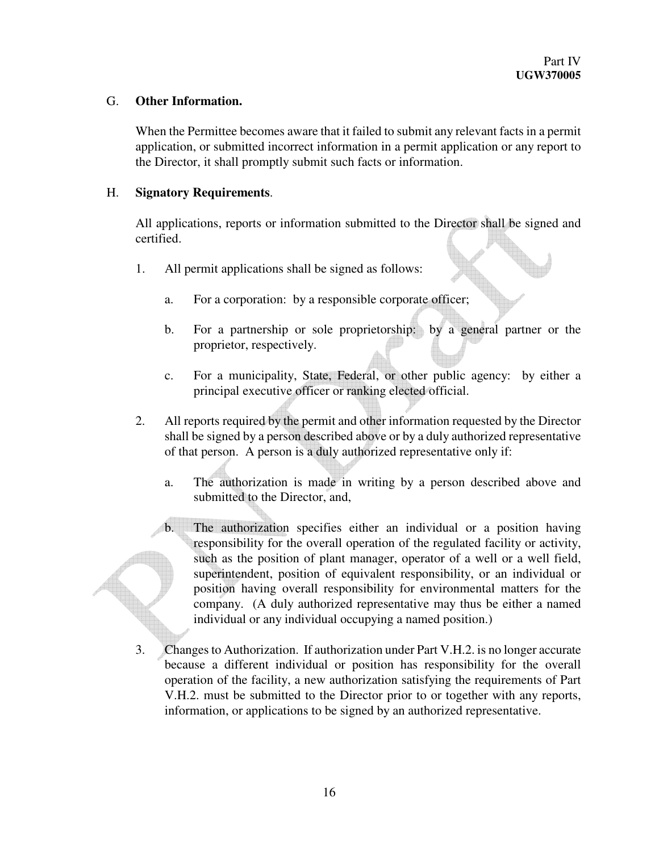### G. **Other Information.**

When the Permittee becomes aware that it failed to submit any relevant facts in a permit application, or submitted incorrect information in a permit application or any report to the Director, it shall promptly submit such facts or information.

### H. **Signatory Requirements**.

All applications, reports or information submitted to the Director shall be signed and certified.

- 1. All permit applications shall be signed as follows:
	- a. For a corporation: by a responsible corporate officer;
	- b. For a partnership or sole proprietorship: by a general partner or the proprietor, respectively.
	- c. For a municipality, State, Federal, or other public agency: by either a principal executive officer or ranking elected official.
- 2. All reports required by the permit and other information requested by the Director shall be signed by a person described above or by a duly authorized representative of that person. A person is a duly authorized representative only if:
	- a. The authorization is made in writing by a person described above and submitted to the Director, and,

b. The authorization specifies either an individual or a position having responsibility for the overall operation of the regulated facility or activity, such as the position of plant manager, operator of a well or a well field, superintendent, position of equivalent responsibility, or an individual or position having overall responsibility for environmental matters for the company. (A duly authorized representative may thus be either a named individual or any individual occupying a named position.)

3. Changes to Authorization. If authorization under Part V.H.2. is no longer accurate because a different individual or position has responsibility for the overall operation of the facility, a new authorization satisfying the requirements of Part V.H.2. must be submitted to the Director prior to or together with any reports, information, or applications to be signed by an authorized representative.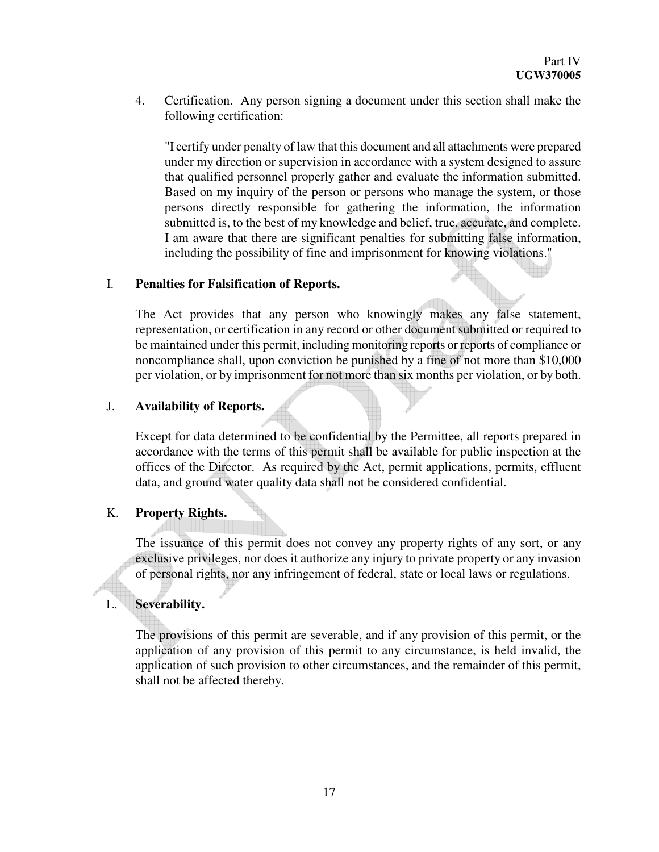4. Certification. Any person signing a document under this section shall make the following certification:

"I certify under penalty of law that this document and all attachments were prepared under my direction or supervision in accordance with a system designed to assure that qualified personnel properly gather and evaluate the information submitted. Based on my inquiry of the person or persons who manage the system, or those persons directly responsible for gathering the information, the information submitted is, to the best of my knowledge and belief, true, accurate, and complete. I am aware that there are significant penalties for submitting false information, including the possibility of fine and imprisonment for knowing violations."

#### I. **Penalties for Falsification of Reports.**

The Act provides that any person who knowingly makes any false statement, representation, or certification in any record or other document submitted or required to be maintained under this permit, including monitoring reports or reports of compliance or noncompliance shall, upon conviction be punished by a fine of not more than \$10,000 per violation, or by imprisonment for not more than six months per violation, or by both.

#### J. **Availability of Reports.**

Except for data determined to be confidential by the Permittee, all reports prepared in accordance with the terms of this permit shall be available for public inspection at the offices of the Director. As required by the Act, permit applications, permits, effluent data, and ground water quality data shall not be considered confidential.

#### K. **Property Rights.**

The issuance of this permit does not convey any property rights of any sort, or any exclusive privileges, nor does it authorize any injury to private property or any invasion of personal rights, nor any infringement of federal, state or local laws or regulations.

#### L. **Severability.**

The provisions of this permit are severable, and if any provision of this permit, or the application of any provision of this permit to any circumstance, is held invalid, the application of such provision to other circumstances, and the remainder of this permit, shall not be affected thereby.